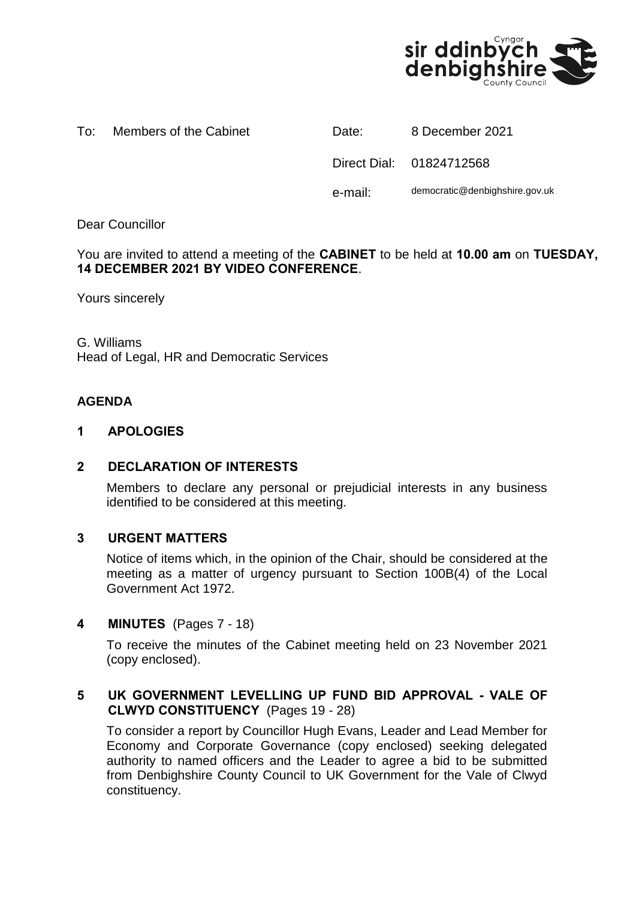

| Members of the Cabinet<br>Date: |  |  |  | 8 December 2021 |
|---------------------------------|--|--|--|-----------------|
|---------------------------------|--|--|--|-----------------|

| Date:   | 8 December 2021                |
|---------|--------------------------------|
|         | Direct Dial: 01824712568       |
| e-mail: | democratic@denbighshire.gov.uk |

Dear Councillor

You are invited to attend a meeting of the **CABINET** to be held at **10.00 am** on **TUESDAY, 14 DECEMBER 2021 BY VIDEO CONFERENCE**.

Yours sincerely

G. Williams Head of Legal, HR and Democratic Services

# **AGENDA**

### **1 APOLOGIES**

### **2 DECLARATION OF INTERESTS**

Members to declare any personal or prejudicial interests in any business identified to be considered at this meeting.

### **3 URGENT MATTERS**

Notice of items which, in the opinion of the Chair, should be considered at the meeting as a matter of urgency pursuant to Section 100B(4) of the Local Government Act 1972.

### **4 MINUTES** (Pages 7 - 18)

To receive the minutes of the Cabinet meeting held on 23 November 2021 (copy enclosed).

# **5 UK GOVERNMENT LEVELLING UP FUND BID APPROVAL - VALE OF CLWYD CONSTITUENCY** (Pages 19 - 28)

To consider a report by Councillor Hugh Evans, Leader and Lead Member for Economy and Corporate Governance (copy enclosed) seeking delegated authority to named officers and the Leader to agree a bid to be submitted from Denbighshire County Council to UK Government for the Vale of Clwyd constituency.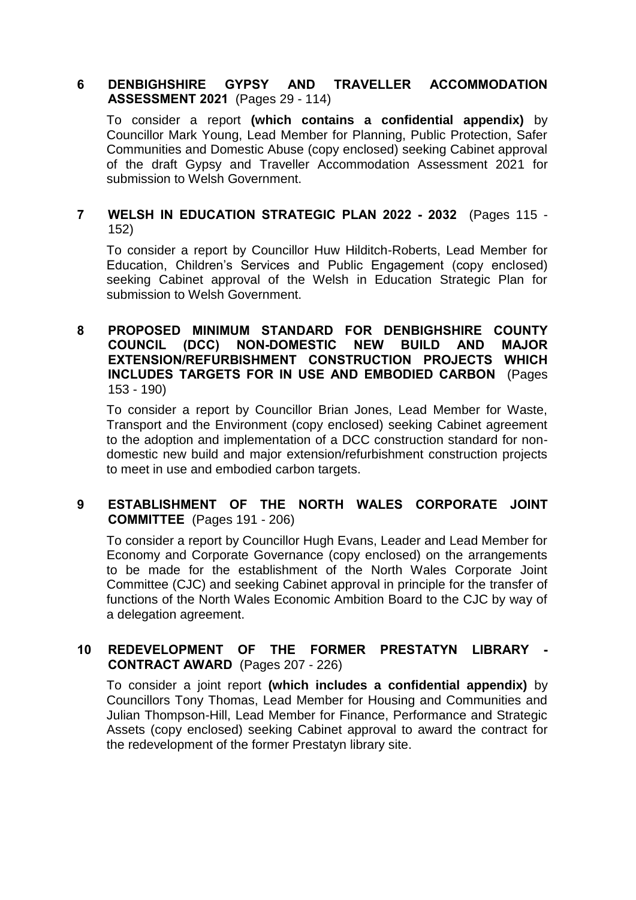### **6 DENBIGHSHIRE GYPSY AND TRAVELLER ACCOMMODATION ASSESSMENT 2021** (Pages 29 - 114)

To consider a report **(which contains a confidential appendix)** by Councillor Mark Young, Lead Member for Planning, Public Protection, Safer Communities and Domestic Abuse (copy enclosed) seeking Cabinet approval of the draft Gypsy and Traveller Accommodation Assessment 2021 for submission to Welsh Government.

# **7 WELSH IN EDUCATION STRATEGIC PLAN 2022 - 2032** (Pages 115 - 152)

To consider a report by Councillor Huw Hilditch-Roberts, Lead Member for Education, Children's Services and Public Engagement (copy enclosed) seeking Cabinet approval of the Welsh in Education Strategic Plan for submission to Welsh Government.

### **8 PROPOSED MINIMUM STANDARD FOR DENBIGHSHIRE COUNTY COUNCIL (DCC) NON-DOMESTIC NEW BUILD AND MAJOR EXTENSION/REFURBISHMENT CONSTRUCTION PROJECTS WHICH INCLUDES TARGETS FOR IN USE AND EMBODIED CARBON** (Pages 153 - 190)

To consider a report by Councillor Brian Jones, Lead Member for Waste, Transport and the Environment (copy enclosed) seeking Cabinet agreement to the adoption and implementation of a DCC construction standard for nondomestic new build and major extension/refurbishment construction projects to meet in use and embodied carbon targets.

### **9 ESTABLISHMENT OF THE NORTH WALES CORPORATE JOINT COMMITTEE** (Pages 191 - 206)

To consider a report by Councillor Hugh Evans, Leader and Lead Member for Economy and Corporate Governance (copy enclosed) on the arrangements to be made for the establishment of the North Wales Corporate Joint Committee (CJC) and seeking Cabinet approval in principle for the transfer of functions of the North Wales Economic Ambition Board to the CJC by way of a delegation agreement.

# **10 REDEVELOPMENT OF THE FORMER PRESTATYN LIBRARY - CONTRACT AWARD** (Pages 207 - 226)

To consider a joint report **(which includes a confidential appendix)** by Councillors Tony Thomas, Lead Member for Housing and Communities and Julian Thompson-Hill, Lead Member for Finance, Performance and Strategic Assets (copy enclosed) seeking Cabinet approval to award the contract for the redevelopment of the former Prestatyn library site.